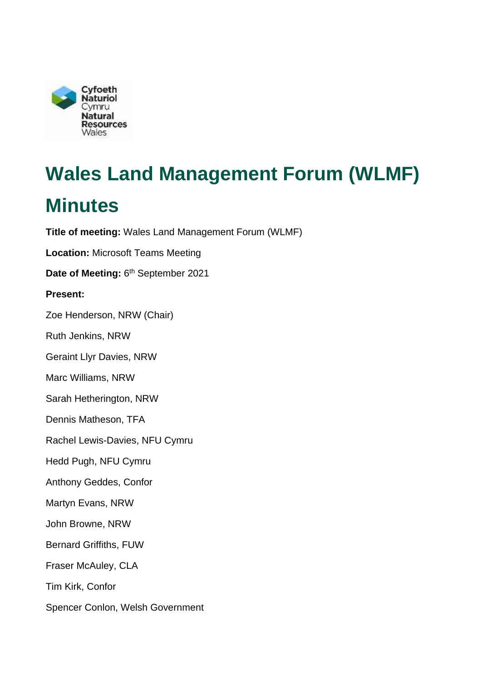

# **Wales Land Management Forum (WLMF)**

## **Minutes**

**Title of meeting:** Wales Land Management Forum (WLMF) **Location:** Microsoft Teams Meeting Date of Meeting: 6<sup>th</sup> September 2021 **Present:**  Zoe Henderson, NRW (Chair) Ruth Jenkins, NRW Geraint Llyr Davies, NRW Marc Williams, NRW Sarah Hetherington, NRW Dennis Matheson, TFA Rachel Lewis-Davies, NFU Cymru Hedd Pugh, NFU Cymru Anthony Geddes, Confor Martyn Evans, NRW John Browne, NRW Bernard Griffiths, FUW Fraser McAuley, CLA Tim Kirk, Confor Spencer Conlon, Welsh Government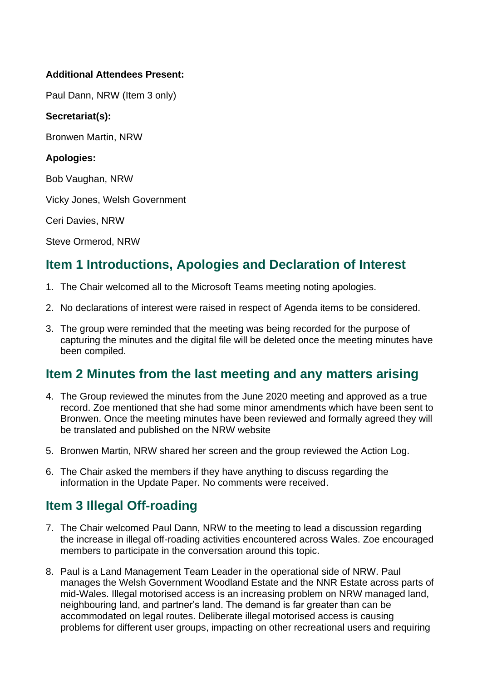#### **Additional Attendees Present:**

Paul Dann, NRW (Item 3 only)

#### **Secretariat(s):**

Bronwen Martin, NRW

#### **Apologies:**

Bob Vaughan, NRW

Vicky Jones, Welsh Government

Ceri Davies, NRW

Steve Ormerod, NRW

## **Item 1 Introductions, Apologies and Declaration of Interest**

- 1. The Chair welcomed all to the Microsoft Teams meeting noting apologies.
- 2. No declarations of interest were raised in respect of Agenda items to be considered.
- 3. The group were reminded that the meeting was being recorded for the purpose of capturing the minutes and the digital file will be deleted once the meeting minutes have been compiled.

## **Item 2 Minutes from the last meeting and any matters arising**

- 4. The Group reviewed the minutes from the June 2020 meeting and approved as a true be translated and published on the NRW website record. Zoe mentioned that she had some minor amendments which have been sent to Bronwen. Once the meeting minutes have been reviewed and formally agreed they will
- 5. Bronwen Martin, NRW shared her screen and the group reviewed the Action Log.
- 6. The Chair asked the members if they have anything to discuss regarding the information in the Update Paper. No comments were received.

## **Item 3 Illegal Off-roading**

- 7. The Chair welcomed Paul Dann, NRW to the meeting to lead a discussion regarding the increase in illegal off-roading activities encountered across Wales. Zoe encouraged members to participate in the conversation around this topic.
- 8. Paul is a Land Management Team Leader in the operational side of NRW. Paul manages the Welsh Government Woodland Estate and the NNR Estate across parts of mid-Wales. Illegal motorised access is an increasing problem on NRW managed land, neighbouring land, and partner's land. The demand is far greater than can be accommodated on legal routes. Deliberate illegal motorised access is causing problems for different user groups, impacting on other recreational users and requiring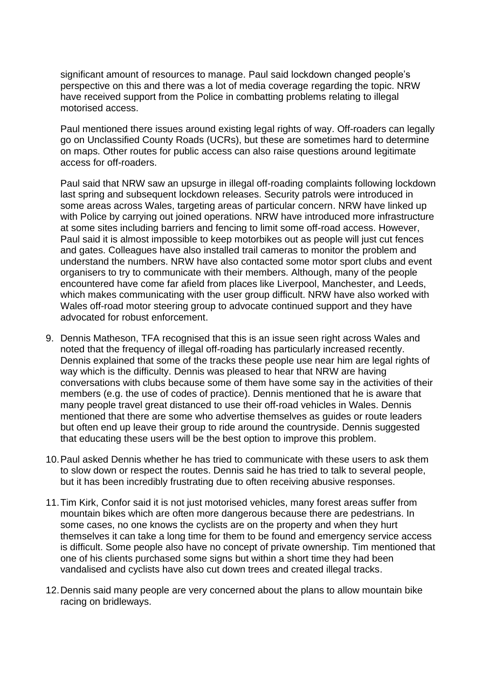significant amount of resources to manage. Paul said lockdown changed people's perspective on this and there was a lot of media coverage regarding the topic. NRW have received support from the Police in combatting problems relating to illegal motorised access.

Paul mentioned there issues around existing legal rights of way. Off-roaders can legally go on Unclassified County Roads (UCRs), but these are sometimes hard to determine on maps. Other routes for public access can also raise questions around legitimate access for off-roaders.

 with Police by carrying out joined operations. NRW have introduced more infrastructure organisers to try to communicate with their members. Although, many of the people Wales off-road motor steering group to advocate continued support and they have Paul said that NRW saw an upsurge in illegal off-roading complaints following lockdown last spring and subsequent lockdown releases. Security patrols were introduced in some areas across Wales, targeting areas of particular concern. NRW have linked up at some sites including barriers and fencing to limit some off-road access. However, Paul said it is almost impossible to keep motorbikes out as people will just cut fences and gates. Colleagues have also installed trail cameras to monitor the problem and understand the numbers. NRW have also contacted some motor sport clubs and event encountered have come far afield from places like Liverpool, Manchester, and Leeds, which makes communicating with the user group difficult. NRW have also worked with advocated for robust enforcement.

- way which is the difficulty. Dennis was pleased to hear that NRW are having conversations with clubs because some of them have some say in the activities of their 9. Dennis Matheson, TFA recognised that this is an issue seen right across Wales and noted that the frequency of illegal off-roading has particularly increased recently. Dennis explained that some of the tracks these people use near him are legal rights of members (e.g. the use of codes of practice). Dennis mentioned that he is aware that many people travel great distanced to use their off-road vehicles in Wales. Dennis mentioned that there are some who advertise themselves as guides or route leaders but often end up leave their group to ride around the countryside. Dennis suggested that educating these users will be the best option to improve this problem.
- 10.Paul asked Dennis whether he has tried to communicate with these users to ask them to slow down or respect the routes. Dennis said he has tried to talk to several people, but it has been incredibly frustrating due to often receiving abusive responses.
- themselves it can take a long time for them to be found and emergency service access one of his clients purchased some signs but within a short time they had been 11.Tim Kirk, Confor said it is not just motorised vehicles, many forest areas suffer from mountain bikes which are often more dangerous because there are pedestrians. In some cases, no one knows the cyclists are on the property and when they hurt is difficult. Some people also have no concept of private ownership. Tim mentioned that vandalised and cyclists have also cut down trees and created illegal tracks.
- 12.Dennis said many people are very concerned about the plans to allow mountain bike racing on bridleways.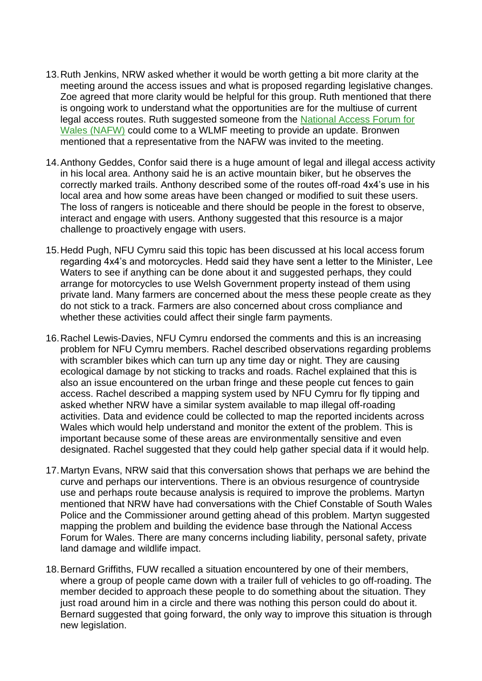- 13.Ruth Jenkins, NRW asked whether it would be worth getting a bit more clarity at the meeting around the access issues and what is proposed regarding legislative changes. Zoe agreed that more clarity would be helpful for this group. Ruth mentioned that there [Wales \(NAFW\)](https://naturalresources.wales/days-out/recreation-and-access-policy-advice-and-guidance/networks-and-partnerships/national-access-forum-for-wales/?lang=en) could come to a WLMF meeting to provide an update. Bronwen mentioned that a representative from the NAFW was invited to the meeting. is ongoing work to understand what the opportunities are for the multiuse of current legal access routes. Ruth suggested someone from the National Access Forum for
- in his local area. Anthony said he is an active mountain biker, but he observes the local area and how some areas have been changed or modified to suit these users. The loss of rangers is noticeable and there should be people in the forest to observe, 14.Anthony Geddes, Confor said there is a huge amount of legal and illegal access activity correctly marked trails. Anthony described some of the routes off-road 4x4's use in his interact and engage with users. Anthony suggested that this resource is a major challenge to proactively engage with users.
- do not stick to a track. Farmers are also concerned about cross compliance and 15.Hedd Pugh, NFU Cymru said this topic has been discussed at his local access forum regarding 4x4's and motorcycles. Hedd said they have sent a letter to the Minister, Lee Waters to see if anything can be done about it and suggested perhaps, they could arrange for motorcycles to use Welsh Government property instead of them using private land. Many farmers are concerned about the mess these people create as they whether these activities could affect their single farm payments.
- access. Rachel described a mapping system used by NFU Cymru for fly tipping and asked whether NRW have a similar system available to map illegal off-roading 16.Rachel Lewis-Davies, NFU Cymru endorsed the comments and this is an increasing problem for NFU Cymru members. Rachel described observations regarding problems with scrambler bikes which can turn up any time day or night. They are causing ecological damage by not sticking to tracks and roads. Rachel explained that this is also an issue encountered on the urban fringe and these people cut fences to gain activities. Data and evidence could be collected to map the reported incidents across Wales which would help understand and monitor the extent of the problem. This is important because some of these areas are environmentally sensitive and even designated. Rachel suggested that they could help gather special data if it would help.
- 17.Martyn Evans, NRW said that this conversation shows that perhaps we are behind the curve and perhaps our interventions. There is an obvious resurgence of countryside use and perhaps route because analysis is required to improve the problems. Martyn mentioned that NRW have had conversations with the Chief Constable of South Wales Police and the Commissioner around getting ahead of this problem. Martyn suggested mapping the problem and building the evidence base through the National Access Forum for Wales. There are many concerns including liability, personal safety, private land damage and wildlife impact.
- 18.Bernard Griffiths, FUW recalled a situation encountered by one of their members, member decided to approach these people to do something about the situation. They where a group of people came down with a trailer full of vehicles to go off-roading. The just road around him in a circle and there was nothing this person could do about it. Bernard suggested that going forward, the only way to improve this situation is through new legislation.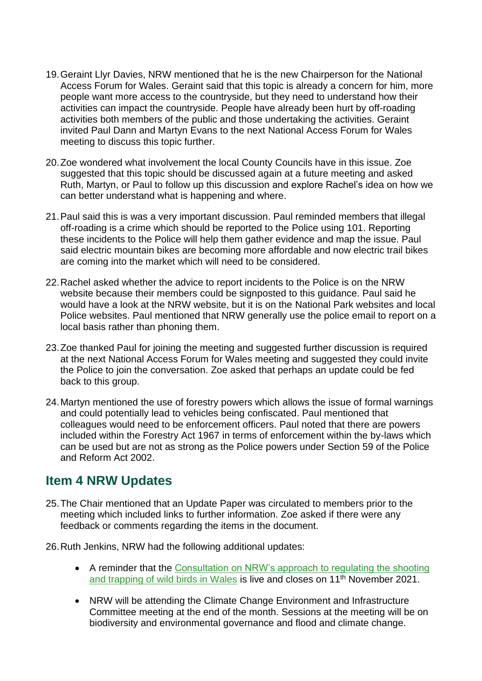- 19.Geraint Llyr Davies, NRW mentioned that he is the new Chairperson for the National people want more access to the countryside, but they need to understand how their activities both members of the public and those undertaking the activities. Geraint invited Paul Dann and Martyn Evans to the next National Access Forum for Wales meeting to discuss this topic further. Access Forum for Wales. Geraint said that this topic is already a concern for him, more activities can impact the countryside. People have already been hurt by off-roading
- suggested that this topic should be discussed again at a future meeting and asked 20.Zoe wondered what involvement the local County Councils have in this issue. Zoe Ruth, Martyn, or Paul to follow up this discussion and explore Rachel's idea on how we can better understand what is happening and where.
- 21.Paul said this is was a very important discussion. Paul reminded members that illegal off-roading is a crime which should be reported to the Police using 101. Reporting these incidents to the Police will help them gather evidence and map the issue. Paul said electric mountain bikes are becoming more affordable and now electric trail bikes are coming into the market which will need to be considered.
- Police websites. Paul mentioned that NRW generally use the police email to report on a 22.Rachel asked whether the advice to report incidents to the Police is on the NRW website because their members could be signposted to this guidance. Paul said he would have a look at the NRW website, but it is on the National Park websites and local local basis rather than phoning them.
- 23.Zoe thanked Paul for joining the meeting and suggested further discussion is required at the next National Access Forum for Wales meeting and suggested they could invite the Police to join the conversation. Zoe asked that perhaps an update could be fed back to this group.
- included within the Forestry Act 1967 in terms of enforcement within the by-laws which 24.Martyn mentioned the use of forestry powers which allows the issue of formal warnings and could potentially lead to vehicles being confiscated. Paul mentioned that colleagues would need to be enforcement officers. Paul noted that there are powers can be used but are not as strong as the Police powers under Section 59 of the Police and Reform Act 2002.

## **Item 4 NRW Updates**

- feedback or comments regarding the items in the document. 25.The Chair mentioned that an Update Paper was circulated to members prior to the meeting which included links to further information. Zoe asked if there were any
- 26.Ruth Jenkins, NRW had the following additional updates:
	- [and trapping of wild birds in Wales](https://ymgynghori.cyfoethnaturiol.cymru/evidence-policy-and-permitting-tystiolaeth-polisi-a-thrwyddedu/nrw-s-approach-to-regulating-the-shooting-and-trap/) is live and closes on 11<sup>th</sup> November 2021. • A reminder that the [Consultation on NRW's approach to regulating the shooting](https://ymgynghori.cyfoethnaturiol.cymru/evidence-policy-and-permitting-tystiolaeth-polisi-a-thrwyddedu/nrw-s-approach-to-regulating-the-shooting-and-trap/)
	- • NRW will be attending the Climate Change Environment and Infrastructure Committee meeting at the end of the month. Sessions at the meeting will be on biodiversity and environmental governance and flood and climate change.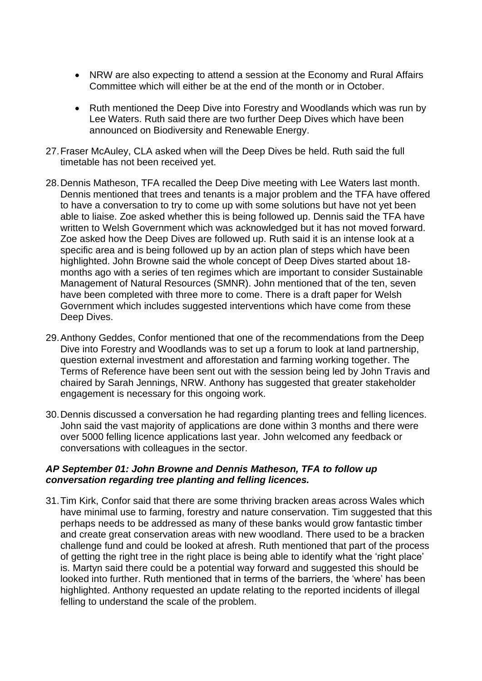- Committee which will either be at the end of the month or in October. • NRW are also expecting to attend a session at the Economy and Rural Affairs
- • Ruth mentioned the Deep Dive into Forestry and Woodlands which was run by Lee Waters. Ruth said there are two further Deep Dives which have been announced on Biodiversity and Renewable Energy.
- 27.Fraser McAuley, CLA asked when will the Deep Dives be held. Ruth said the full timetable has not been received yet.
- able to liaise. Zoe asked whether this is being followed up. Dennis said the TFA have specific area and is being followed up by an action plan of steps which have been Government which includes suggested interventions which have come from these 28.Dennis Matheson, TFA recalled the Deep Dive meeting with Lee Waters last month. Dennis mentioned that trees and tenants is a major problem and the TFA have offered to have a conversation to try to come up with some solutions but have not yet been written to Welsh Government which was acknowledged but it has not moved forward. Zoe asked how the Deep Dives are followed up. Ruth said it is an intense look at a highlighted. John Browne said the whole concept of Deep Dives started about 18 months ago with a series of ten regimes which are important to consider Sustainable Management of Natural Resources (SMNR). John mentioned that of the ten, seven have been completed with three more to come. There is a draft paper for Welsh Deep Dives.
- 29.Anthony Geddes, Confor mentioned that one of the recommendations from the Deep Dive into Forestry and Woodlands was to set up a forum to look at land partnership, question external investment and afforestation and farming working together. The Terms of Reference have been sent out with the session being led by John Travis and chaired by Sarah Jennings, NRW. Anthony has suggested that greater stakeholder engagement is necessary for this ongoing work.
- conversations with colleagues in the sector. 30.Dennis discussed a conversation he had regarding planting trees and felling licences. John said the vast majority of applications are done within 3 months and there were over 5000 felling licence applications last year. John welcomed any feedback or

#### *AP September 01: John Browne and Dennis Matheson, TFA to follow up conversation regarding tree planting and felling licences.*

 perhaps needs to be addressed as many of these banks would grow fantastic timber and create great conservation areas with new woodland. There used to be a bracken highlighted. Anthony requested an update relating to the reported incidents of illegal felling to understand the scale of the problem. 31.Tim Kirk, Confor said that there are some thriving bracken areas across Wales which have minimal use to farming, forestry and nature conservation. Tim suggested that this challenge fund and could be looked at afresh. Ruth mentioned that part of the process of getting the right tree in the right place is being able to identify what the 'right place' is. Martyn said there could be a potential way forward and suggested this should be looked into further. Ruth mentioned that in terms of the barriers, the 'where' has been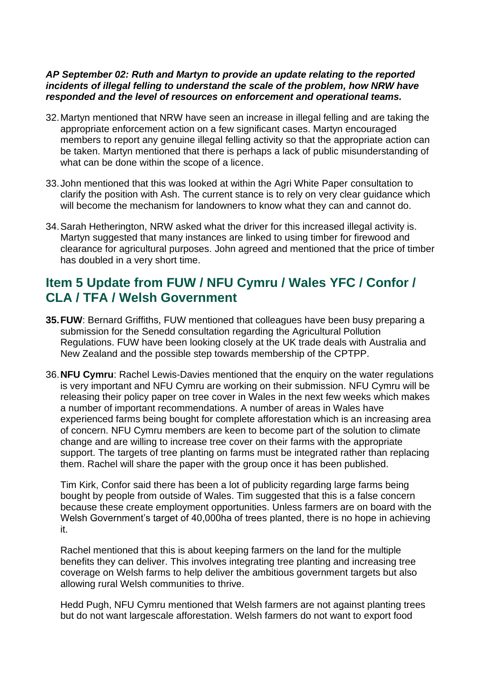#### *AP September 02: Ruth and Martyn to provide an update relating to the reported incidents of illegal felling to understand the scale of the problem, how NRW have responded and the level of resources on enforcement and operational teams.*

- appropriate enforcement action on a few significant cases. Martyn encouraged members to report any genuine illegal felling activity so that the appropriate action can 32.Martyn mentioned that NRW have seen an increase in illegal felling and are taking the be taken. Martyn mentioned that there is perhaps a lack of public misunderstanding of what can be done within the scope of a licence.
- 33.John mentioned that this was looked at within the Agri White Paper consultation to clarify the position with Ash. The current stance is to rely on very clear guidance which will become the mechanism for landowners to know what they can and cannot do.
- Martyn suggested that many instances are linked to using timber for firewood and 34.Sarah Hetherington, NRW asked what the driver for this increased illegal activity is. clearance for agricultural purposes. John agreed and mentioned that the price of timber has doubled in a very short time.

## **CLA / TFA / Welsh Government CLA / TFA / WeIsh Government**<br>35.FUW: Bernard Griffiths, FUW mentioned that colleagues have been busy preparing a **Item 5 Update from FUW / NFU Cymru / Wales YFC / Confor /**

- New Zealand and the possible step towards membership of the CPTPP. submission for the Senedd consultation regarding the Agricultural Pollution Regulations. FUW have been looking closely at the UK trade deals with Australia and
- 36.**NFU Cymru**: Rachel Lewis-Davies mentioned that the enquiry on the water regulations experienced farms being bought for complete afforestation which is an increasing area change and are willing to increase tree cover on their farms with the appropriate is very important and NFU Cymru are working on their submission. NFU Cymru will be releasing their policy paper on tree cover in Wales in the next few weeks which makes a number of important recommendations. A number of areas in Wales have of concern. NFU Cymru members are keen to become part of the solution to climate support. The targets of tree planting on farms must be integrated rather than replacing them. Rachel will share the paper with the group once it has been published.

 because these create employment opportunities. Unless farmers are on board with the Tim Kirk, Confor said there has been a lot of publicity regarding large farms being bought by people from outside of Wales. Tim suggested that this is a false concern Welsh Government's target of 40,000ha of trees planted, there is no hope in achieving it.

 Rachel mentioned that this is about keeping farmers on the land for the multiple benefits they can deliver. This involves integrating tree planting and increasing tree coverage on Welsh farms to help deliver the ambitious government targets but also allowing rural Welsh communities to thrive.

Hedd Pugh, NFU Cymru mentioned that Welsh farmers are not against planting trees but do not want largescale afforestation. Welsh farmers do not want to export food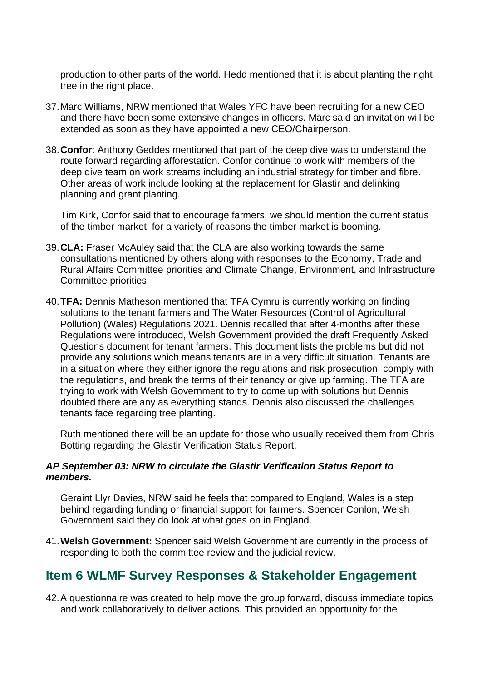production to other parts of the world. Hedd mentioned that it is about planting the right tree in the right place.

- extended as soon as they have appointed a new CEO/Chairperson. 37.Marc Williams, NRW mentioned that Wales YFC have been recruiting for a new CEO and there have been some extensive changes in officers. Marc said an invitation will be
- 38.**Confor**: Anthony Geddes mentioned that part of the deep dive was to understand the deep dive team on work streams including an industrial strategy for timber and fibre. route forward regarding afforestation. Confor continue to work with members of the Other areas of work include looking at the replacement for Glastir and delinking planning and grant planting.

Tim Kirk, Confor said that to encourage farmers, we should mention the current status of the timber market; for a variety of reasons the timber market is booming.

- consultations mentioned by others along with responses to the Economy, Trade and 39.**CLA:** Fraser McAuley said that the CLA are also working towards the same Rural Affairs Committee priorities and Climate Change, Environment, and Infrastructure Committee priorities.
- solutions to the tenant farmers and The Water Resources (Control of Agricultural trying to work with Welsh Government to try to come up with solutions but Dennis 40.**TFA:** Dennis Matheson mentioned that TFA Cymru is currently working on finding Pollution) (Wales) Regulations 2021. Dennis recalled that after 4-months after these Regulations were introduced, Welsh Government provided the draft Frequently Asked Questions document for tenant farmers. This document lists the problems but did not provide any solutions which means tenants are in a very difficult situation. Tenants are in a situation where they either ignore the regulations and risk prosecution, comply with the regulations, and break the terms of their tenancy or give up farming. The TFA are doubted there are any as everything stands. Dennis also discussed the challenges tenants face regarding tree planting.

Ruth mentioned there will be an update for those who usually received them from Chris Botting regarding the Glastir Verification Status Report.

#### *AP September 03: NRW to circulate the Glastir Verification Status Report to members.*

Geraint Llyr Davies, NRW said he feels that compared to England, Wales is a step behind regarding funding or financial support for farmers. Spencer Conlon, Welsh Government said they do look at what goes on in England.

 responding to both the committee review and the judicial review. 41.**Welsh Government:** Spencer said Welsh Government are currently in the process of

## **Item 6 WLMF Survey Responses & Stakeholder Engagement**

42.A questionnaire was created to help move the group forward, discuss immediate topics and work collaboratively to deliver actions. This provided an opportunity for the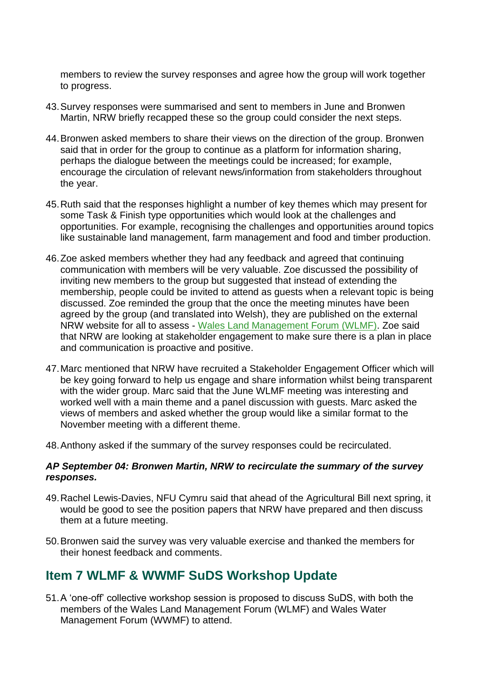members to review the survey responses and agree how the group will work together to progress.

- 43.Survey responses were summarised and sent to members in June and Bronwen Martin, NRW briefly recapped these so the group could consider the next steps.
- 44.Bronwen asked members to share their views on the direction of the group. Bronwen said that in order for the group to continue as a platform for information sharing, perhaps the dialogue between the meetings could be increased; for example, encourage the circulation of relevant news/information from stakeholders throughout the year.
- opportunities. For example, recognising the challenges and opportunities around topics 45.Ruth said that the responses highlight a number of key themes which may present for some Task & Finish type opportunities which would look at the challenges and like sustainable land management, farm management and food and timber production.
- discussed. Zoe reminded the group that the once the meeting minutes have been agreed by the group (and translated into Welsh), they are published on the external that NRW are looking at stakeholder engagement to make sure there is a plan in place 46.Zoe asked members whether they had any feedback and agreed that continuing communication with members will be very valuable. Zoe discussed the possibility of inviting new members to the group but suggested that instead of extending the membership, people could be invited to attend as guests when a relevant topic is being NRW website for all to assess - [Wales Land Management Forum \(WLMF\).](https://naturalresources.wales/guidance-and-advice/business-sectors/farming/wales-land-management-forum/?lang=en) Zoe said and communication is proactive and positive.
- worked well with a main theme and a panel discussion with guests. Marc asked the 47.Marc mentioned that NRW have recruited a Stakeholder Engagement Officer which will be key going forward to help us engage and share information whilst being transparent with the wider group. Marc said that the June WLMF meeting was interesting and views of members and asked whether the group would like a similar format to the November meeting with a different theme.
- 48.Anthony asked if the summary of the survey responses could be recirculated.

#### *AP September 04: Bronwen Martin, NRW to recirculate the summary of the survey responses.*

- 49.Rachel Lewis-Davies, NFU Cymru said that ahead of the Agricultural Bill next spring, it would be good to see the position papers that NRW have prepared and then discuss them at a future meeting.
- 50.Bronwen said the survey was very valuable exercise and thanked the members for their honest feedback and comments.

## **Item 7 WLMF & WWMF SuDS Workshop Update**

51.A 'one-off' collective workshop session is proposed to discuss SuDS, with both the members of the Wales Land Management Forum (WLMF) and Wales Water Management Forum (WWMF) to attend.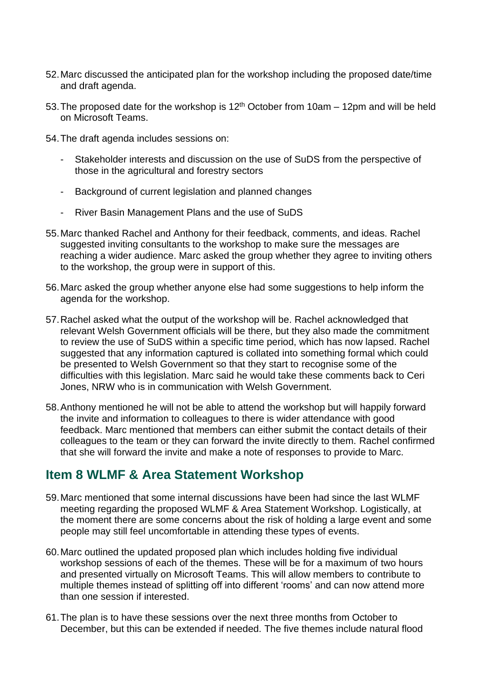- 52.Marc discussed the anticipated plan for the workshop including the proposed date/time and draft agenda.
- 53. The proposed date for the workshop is  $12<sup>th</sup>$  October from 10am 12pm and will be held on Microsoft Teams.
- 54.The draft agenda includes sessions on:
	- Stakeholder interests and discussion on the use of SuDS from the perspective of those in the agricultural and forestry sectors
	- Background of current legislation and planned changes
	- River Basin Management Plans and the use of SuDS
- 55.Marc thanked Rachel and Anthony for their feedback, comments, and ideas. Rachel suggested inviting consultants to the workshop to make sure the messages are reaching a wider audience. Marc asked the group whether they agree to inviting others to the workshop, the group were in support of this.
- 56.Marc asked the group whether anyone else had some suggestions to help inform the agenda for the workshop.
- to review the use of SuDS within a specific time period, which has now lapsed. Rachel be presented to Welsh Government so that they start to recognise some of the 57.Rachel asked what the output of the workshop will be. Rachel acknowledged that relevant Welsh Government officials will be there, but they also made the commitment suggested that any information captured is collated into something formal which could difficulties with this legislation. Marc said he would take these comments back to Ceri Jones, NRW who is in communication with Welsh Government.
- that she will forward the invite and make a note of responses to provide to Marc. 58.Anthony mentioned he will not be able to attend the workshop but will happily forward the invite and information to colleagues to there is wider attendance with good feedback. Marc mentioned that members can either submit the contact details of their colleagues to the team or they can forward the invite directly to them. Rachel confirmed

## **Item 8 WLMF & Area Statement Workshop**

- meeting regarding the proposed WLMF & Area Statement Workshop. Logistically, at 59.Marc mentioned that some internal discussions have been had since the last WLMF the moment there are some concerns about the risk of holding a large event and some people may still feel uncomfortable in attending these types of events.
- 60.Marc outlined the updated proposed plan which includes holding five individual workshop sessions of each of the themes. These will be for a maximum of two hours multiple themes instead of splitting off into different 'rooms' and can now attend more and presented virtually on Microsoft Teams. This will allow members to contribute to than one session if interested.
- 61.The plan is to have these sessions over the next three months from October to December, but this can be extended if needed. The five themes include natural flood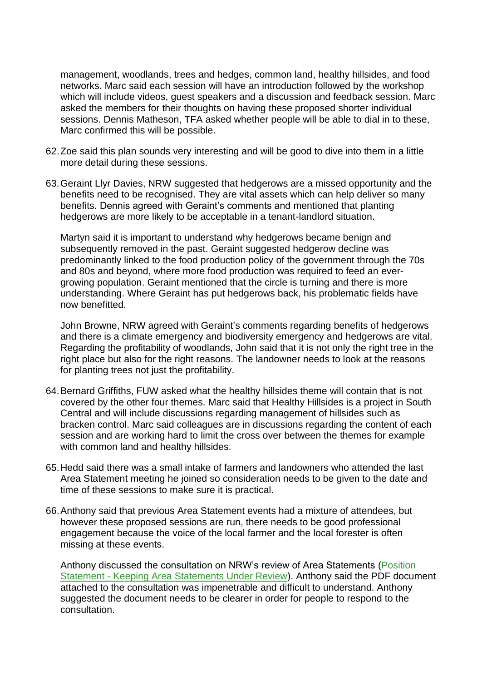which will include videos, guest speakers and a discussion and feedback session. Marc management, woodlands, trees and hedges, common land, healthy hillsides, and food networks. Marc said each session will have an introduction followed by the workshop asked the members for their thoughts on having these proposed shorter individual sessions. Dennis Matheson, TFA asked whether people will be able to dial in to these, Marc confirmed this will be possible.

- 62.Zoe said this plan sounds very interesting and will be good to dive into them in a little more detail during these sessions.
- 63.Geraint Llyr Davies, NRW suggested that hedgerows are a missed opportunity and the hedgerows are more likely to be acceptable in a tenant-landlord situation. benefits need to be recognised. They are vital assets which can help deliver so many benefits. Dennis agreed with Geraint's comments and mentioned that planting

 Martyn said it is important to understand why hedgerows became benign and predominantly linked to the food production policy of the government through the 70s and 80s and beyond, where more food production was required to feed an eversubsequently removed in the past. Geraint suggested hedgerow decline was growing population. Geraint mentioned that the circle is turning and there is more understanding. Where Geraint has put hedgerows back, his problematic fields have now benefitted.

John Browne, NRW agreed with Geraint's comments regarding benefits of hedgerows and there is a climate emergency and biodiversity emergency and hedgerows are vital. Regarding the profitability of woodlands, John said that it is not only the right tree in the right place but also for the right reasons. The landowner needs to look at the reasons for planting trees not just the profitability.

- session and are working hard to limit the cross over between the themes for example 64.Bernard Griffiths, FUW asked what the healthy hillsides theme will contain that is not covered by the other four themes. Marc said that Healthy Hillsides is a project in South Central and will include discussions regarding management of hillsides such as bracken control. Marc said colleagues are in discussions regarding the content of each with common land and healthy hillsides.
- Area Statement meeting he joined so consideration needs to be given to the date and 65.Hedd said there was a small intake of farmers and landowners who attended the last time of these sessions to make sure it is practical.
- however these proposed sessions are run, there needs to be good professional missing at these events. 66.Anthony said that previous Area Statement events had a mixture of attendees, but engagement because the voice of the local farmer and the local forester is often

Anthony discussed the consultation on NRW's review of Area Statements [\(Position](https://ymgynghori.cyfoethnaturiol.cymru/area-statements-datganiadau-ardal/position-statement-kasur/)  Statement - [Keeping Area Statements Under Review\)](https://ymgynghori.cyfoethnaturiol.cymru/area-statements-datganiadau-ardal/position-statement-kasur/). Anthony said the PDF document attached to the consultation was impenetrable and difficult to understand. Anthony suggested the document needs to be clearer in order for people to respond to the consultation.